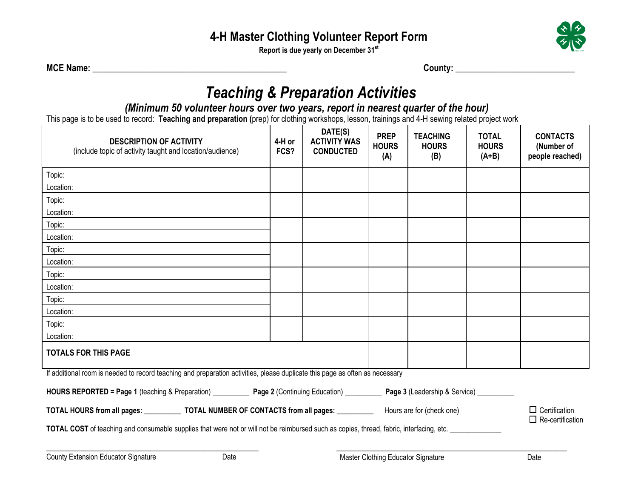**Report is due yearly on December 31st**



**MCE Name: \_\_\_\_\_\_\_\_\_\_\_\_\_\_\_\_\_\_\_\_\_\_\_\_\_\_\_\_\_\_\_\_\_\_\_\_\_\_\_\_\_\_\_\_ County: \_\_\_\_\_\_\_\_\_\_\_\_\_\_\_\_\_\_\_\_\_\_\_\_\_\_\_** 

## *Teaching & Preparation Activities*

#### *(Minimum 50 volunteer hours over two years, report in nearest quarter of the hour)*

This page is to be used to record: **Teaching and preparation (**prep) for clothing workshops, lesson, trainings and 4-H sewing related project work

| <b>DESCRIPTION OF ACTIVITY</b><br>(include topic of activity taught and location/audience)                                                        | 4-H or<br>FCS? | DATE(S)<br><b>ACTIVITY WAS</b><br><b>CONDUCTED</b> | <b>PREP</b><br><b>HOURS</b><br>(A) | <b>TEACHING</b><br><b>HOURS</b><br>(B)          | <b>TOTAL</b><br><b>HOURS</b><br>$(A+B)$ | <b>CONTACTS</b><br>(Number of<br>people reached) |
|---------------------------------------------------------------------------------------------------------------------------------------------------|----------------|----------------------------------------------------|------------------------------------|-------------------------------------------------|-----------------------------------------|--------------------------------------------------|
| Topic:                                                                                                                                            |                |                                                    |                                    |                                                 |                                         |                                                  |
| Location:                                                                                                                                         |                |                                                    |                                    |                                                 |                                         |                                                  |
| Topic:                                                                                                                                            |                |                                                    |                                    |                                                 |                                         |                                                  |
| Location:                                                                                                                                         |                |                                                    |                                    |                                                 |                                         |                                                  |
| Topic:                                                                                                                                            |                |                                                    |                                    |                                                 |                                         |                                                  |
| Location:                                                                                                                                         |                |                                                    |                                    |                                                 |                                         |                                                  |
| Topic:                                                                                                                                            |                |                                                    |                                    |                                                 |                                         |                                                  |
| Location:                                                                                                                                         |                |                                                    |                                    |                                                 |                                         |                                                  |
| Topic:                                                                                                                                            |                |                                                    |                                    |                                                 |                                         |                                                  |
| Location:                                                                                                                                         |                |                                                    |                                    |                                                 |                                         |                                                  |
| Topic:                                                                                                                                            |                |                                                    |                                    |                                                 |                                         |                                                  |
| Location:                                                                                                                                         |                |                                                    |                                    |                                                 |                                         |                                                  |
| Topic:                                                                                                                                            |                |                                                    |                                    |                                                 |                                         |                                                  |
| Location:                                                                                                                                         |                |                                                    |                                    |                                                 |                                         |                                                  |
| <b>TOTALS FOR THIS PAGE</b>                                                                                                                       |                |                                                    |                                    |                                                 |                                         |                                                  |
| If additional room is needed to record teaching and preparation activities, please duplicate this page as often as necessary                      |                |                                                    |                                    |                                                 |                                         |                                                  |
| HOURS REPORTED = Page 1 (teaching & Preparation) _____________ Page 2 (Continuing Education) ___________ Page 3 (Leadership & Service) __________ |                |                                                    |                                    |                                                 |                                         |                                                  |
| TOTAL HOURS from all pages: _______________ TOTAL NUMBER OF CONTACTS from all pages: _____________ Hours are for (check one)                      |                |                                                    |                                    | $\Box$ Certification<br>$\Box$ Re-certification |                                         |                                                  |
| TOTAL COST of teaching and consumable supplies that were not or will not be reimbursed such as copies, thread, fabric, interfacing, etc.          |                |                                                    |                                    |                                                 |                                         |                                                  |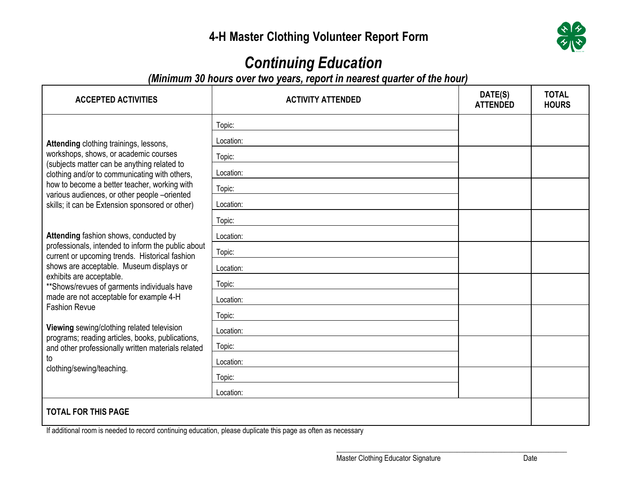

# *Continuing Education*

*(Minimum 30 hours over two years, report in nearest quarter of the hour)*

| <b>ACCEPTED ACTIVITIES</b>                                                                                                                                                                                                                                                                                                                                                                                                                                                                                                          | <b>ACTIVITY ATTENDED</b> | DATE(S)<br><b>ATTENDED</b> | <b>TOTAL</b><br><b>HOURS</b> |
|-------------------------------------------------------------------------------------------------------------------------------------------------------------------------------------------------------------------------------------------------------------------------------------------------------------------------------------------------------------------------------------------------------------------------------------------------------------------------------------------------------------------------------------|--------------------------|----------------------------|------------------------------|
| Attending clothing trainings, lessons,<br>workshops, shows, or academic courses<br>(subjects matter can be anything related to<br>clothing and/or to communicating with others,<br>how to become a better teacher, working with<br>various audiences, or other people -oriented<br>skills; it can be Extension sponsored or other)                                                                                                                                                                                                  | Topic:                   |                            |                              |
|                                                                                                                                                                                                                                                                                                                                                                                                                                                                                                                                     | Location:                |                            |                              |
|                                                                                                                                                                                                                                                                                                                                                                                                                                                                                                                                     | Topic:                   |                            |                              |
|                                                                                                                                                                                                                                                                                                                                                                                                                                                                                                                                     | Location:                |                            |                              |
|                                                                                                                                                                                                                                                                                                                                                                                                                                                                                                                                     | Topic:                   |                            |                              |
|                                                                                                                                                                                                                                                                                                                                                                                                                                                                                                                                     | Location:                |                            |                              |
|                                                                                                                                                                                                                                                                                                                                                                                                                                                                                                                                     | Topic:                   |                            |                              |
| Attending fashion shows, conducted by<br>professionals, intended to inform the public about<br>current or upcoming trends. Historical fashion<br>shows are acceptable. Museum displays or<br>exhibits are acceptable.<br>** Shows/revues of garments individuals have<br>made are not acceptable for example 4-H<br><b>Fashion Revue</b><br>Viewing sewing/clothing related television<br>programs; reading articles, books, publications,<br>and other professionally written materials related<br>to<br>clothing/sewing/teaching. | Location:                |                            |                              |
|                                                                                                                                                                                                                                                                                                                                                                                                                                                                                                                                     | Topic:                   |                            |                              |
|                                                                                                                                                                                                                                                                                                                                                                                                                                                                                                                                     | Location:                |                            |                              |
|                                                                                                                                                                                                                                                                                                                                                                                                                                                                                                                                     | Topic:                   |                            |                              |
|                                                                                                                                                                                                                                                                                                                                                                                                                                                                                                                                     | Location:                |                            |                              |
|                                                                                                                                                                                                                                                                                                                                                                                                                                                                                                                                     | Topic:                   |                            |                              |
|                                                                                                                                                                                                                                                                                                                                                                                                                                                                                                                                     | Location:                |                            |                              |
|                                                                                                                                                                                                                                                                                                                                                                                                                                                                                                                                     | Topic:                   |                            |                              |
|                                                                                                                                                                                                                                                                                                                                                                                                                                                                                                                                     | Location:                |                            |                              |
|                                                                                                                                                                                                                                                                                                                                                                                                                                                                                                                                     | Topic:                   |                            |                              |
|                                                                                                                                                                                                                                                                                                                                                                                                                                                                                                                                     | Location:                |                            |                              |
| <b>TOTAL FOR THIS PAGE</b>                                                                                                                                                                                                                                                                                                                                                                                                                                                                                                          |                          |                            |                              |

If additional room is needed to record continuing education, please duplicate this page as often as necessary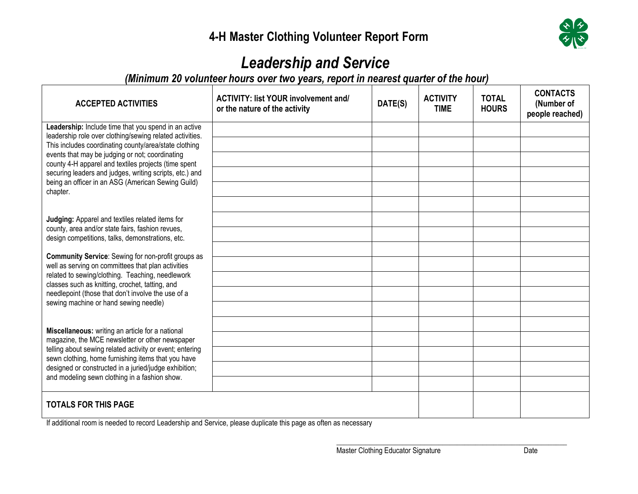

### *Leadership and Service*

*(Minimum 20 volunteer hours over two years, report in nearest quarter of the hour)*

| <b>ACCEPTED ACTIVITIES</b>                                                                                                                                                                                                                                                                                                                                                                                        | <b>ACTIVITY: list YOUR involvement and/</b><br>or the nature of the activity | DATE(S) | <b>ACTIVITY</b><br><b>TIME</b> | <b>TOTAL</b><br><b>HOURS</b> | <b>CONTACTS</b><br>(Number of<br>people reached) |
|-------------------------------------------------------------------------------------------------------------------------------------------------------------------------------------------------------------------------------------------------------------------------------------------------------------------------------------------------------------------------------------------------------------------|------------------------------------------------------------------------------|---------|--------------------------------|------------------------------|--------------------------------------------------|
| Leadership: Include time that you spend in an active<br>leadership role over clothing/sewing related activities.<br>This includes coordinating county/area/state clothing<br>events that may be judging or not; coordinating<br>county 4-H apparel and textiles projects (time spent<br>securing leaders and judges, writing scripts, etc.) and<br>being an officer in an ASG (American Sewing Guild)<br>chapter. |                                                                              |         |                                |                              |                                                  |
|                                                                                                                                                                                                                                                                                                                                                                                                                   |                                                                              |         |                                |                              |                                                  |
|                                                                                                                                                                                                                                                                                                                                                                                                                   |                                                                              |         |                                |                              |                                                  |
|                                                                                                                                                                                                                                                                                                                                                                                                                   |                                                                              |         |                                |                              |                                                  |
|                                                                                                                                                                                                                                                                                                                                                                                                                   |                                                                              |         |                                |                              |                                                  |
| Judging: Apparel and textiles related items for<br>county, area and/or state fairs, fashion revues,<br>design competitions, talks, demonstrations, etc.                                                                                                                                                                                                                                                           |                                                                              |         |                                |                              |                                                  |
|                                                                                                                                                                                                                                                                                                                                                                                                                   |                                                                              |         |                                |                              |                                                  |
| <b>Community Service:</b> Sewing for non-profit groups as<br>well as serving on committees that plan activities<br>related to sewing/clothing. Teaching, needlework<br>classes such as knitting, crochet, tatting, and<br>needlepoint (those that don't involve the use of a<br>sewing machine or hand sewing needle)                                                                                             |                                                                              |         |                                |                              |                                                  |
|                                                                                                                                                                                                                                                                                                                                                                                                                   |                                                                              |         |                                |                              |                                                  |
|                                                                                                                                                                                                                                                                                                                                                                                                                   |                                                                              |         |                                |                              |                                                  |
|                                                                                                                                                                                                                                                                                                                                                                                                                   |                                                                              |         |                                |                              |                                                  |
|                                                                                                                                                                                                                                                                                                                                                                                                                   |                                                                              |         |                                |                              |                                                  |
| Miscellaneous: writing an article for a national<br>magazine, the MCE newsletter or other newspaper<br>telling about sewing related activity or event; entering<br>sewn clothing, home furnishing items that you have<br>designed or constructed in a juried/judge exhibition;<br>and modeling sewn clothing in a fashion show.                                                                                   |                                                                              |         |                                |                              |                                                  |
|                                                                                                                                                                                                                                                                                                                                                                                                                   |                                                                              |         |                                |                              |                                                  |
|                                                                                                                                                                                                                                                                                                                                                                                                                   |                                                                              |         |                                |                              |                                                  |
|                                                                                                                                                                                                                                                                                                                                                                                                                   |                                                                              |         |                                |                              |                                                  |
| <b>TOTALS FOR THIS PAGE</b>                                                                                                                                                                                                                                                                                                                                                                                       |                                                                              |         |                                |                              |                                                  |

If additional room is needed to record Leadership and Service, please duplicate this page as often as necessary